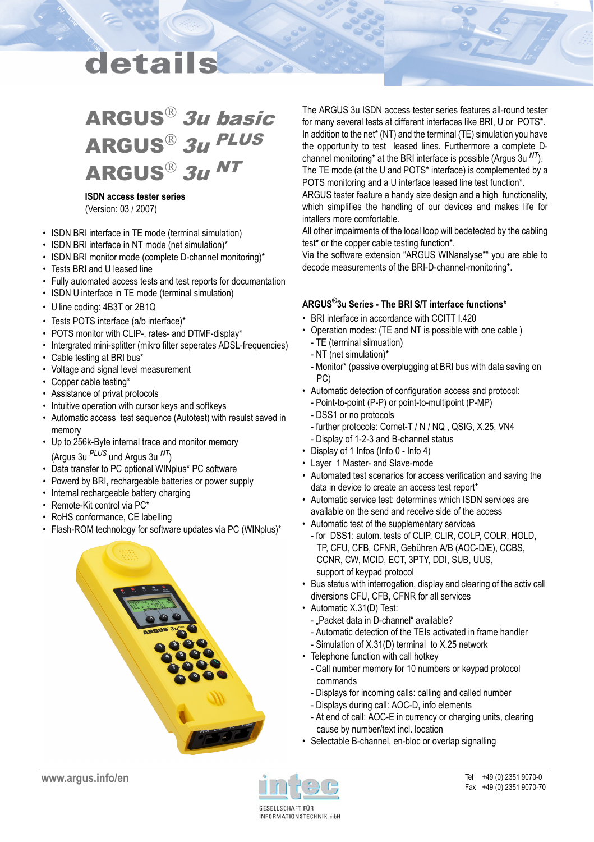## details

## ARGUS<sup>®</sup> 3u basic ARGUS<sup>®</sup> 3u PLUS ARGUS<sup>®</sup> 3u NT

#### **ISDN access tester series** (Version: 03 / 2007)

- ISDN BRI interface in TE mode (terminal simulation)
- ISDN BRI interface in NT mode (net simulation)\*
- ISDN BRI monitor mode (complete D-channel monitoring)\*
- Tests BRI and U leased line
- Fully automated access tests and test reports for documantation
- ISDN U interface in TE mode (terminal simulation)
- U line coding: 4B3T or 2B1Q
- Tests POTS interface (a/b interface)\*
- POTS monitor with CLIP-, rates- and DTMF-display\*
- Intergrated mini-splitter (mikro filter seperates ADSL-frequencies)
- Cable testing at BRI bus\*
- Voltage and signal level measurement
- Copper cable testing\*
- Assistance of privat protocols
- Intuitive operation with cursor keys and softkeys
- Automatic access test sequence (Autotest) with resulst saved in memory
- Up to 256k-Byte internal trace and monitor memory (Argus 3u *PLUS* und Argus 3u *NT*)
- Data transfer to PC optional WINplus\* PC software
- Powerd by BRI, rechargeable batteries or power supply
- Internal rechargeable battery charging
- Remote-Kit control via PC\*
- RoHS conformance, CE labelling
- Flash-ROM technology for software updates via PC (WINplus)\*



The ARGUS 3u ISDN access tester series features all-round tester for many several tests at different interfaces like BRI, U or POTS\*. In addition to the net\* (NT) and the terminal (TE) simulation you have the opportunity to test leased lines. Furthermore a complete Dchannel monitoring\* at the BRI interface is possible (Argus 3u *NT*). The TE mode (at the U and POTS\* interface) is complemented by a

POTS monitoring and a U interface leased line test function\*. ARGUS tester feature a handy size design and a high functionality, which simplifies the handling of our devices and makes life for intallers more comfortable.

All other impairments of the local loop will bedetected by the cabling test\* or the copper cable testing function\*.

Via the software extension "ARGUS WINanalyse\*" you are able to decode measurements of the BRI-D-channel-monitoring\*.

#### **ARGUS®3u Series - The BRI S/T interface functions\***

- BRI interface in accordance with CCITT I.420
- Operation modes: (TE and NT is possible with one cable ) - TE (terminal silmuation)
	- NT (net simulation)\*
	- Monitor\* (passive overplugging at BRI bus with data saving on PC)
- Automatic detection of configuration access and protocol:
	- Point-to-point (P-P) or point-to-multipoint (P-MP)
	- DSS1 or no protocols
	- further protocols: Cornet-T / N / NQ , QSIG, X.25, VN4
- Display of 1-2-3 and B-channel status
- Display of 1 Infos (Info 0 Info 4)
- Layer 1 Master- and Slave-mode
- Automated test scenarios for access verification and saving the data in device to create an access test report\*
- Automatic service test: determines which ISDN services are available on the send and receive side of the access
- Automatic test of the supplementary services
- for DSS1: autom. tests of CLIP, CLIR, COLP, COLR, HOLD, TP, CFU, CFB, CFNR, Gebühren A/B (AOC-D/E), CCBS, CCNR, CW, MCID, ECT, 3PTY, DDI, SUB, UUS, support of keypad protocol
- Bus status with interrogation, display and clearing of the activ call diversions CFU, CFB, CFNR for all services
- Automatic X.31(D) Test:
	- "Packet data in D-channel" available?
	- Automatic detection of the TEIs activated in frame handler
- Simulation of X.31(D) terminal to X.25 network
- Telephone function with call hotkey
	- Call number memory for 10 numbers or keypad protocol commands
	- Displays for incoming calls: calling and called number
	- Displays during call: AOC-D, info elements
	- At end of call: AOC-E in currency or charging units, clearing cause by number/text incl. location
- Selectable B-channel, en-bloc or overlap signalling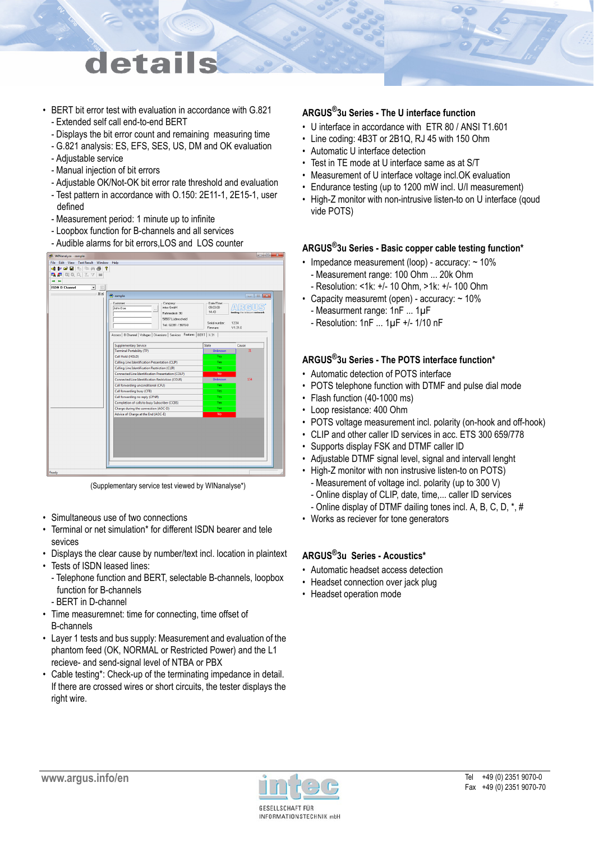## letail

- BERT bit error test with evaluation in accordance with G.821 - Extended self call end-to-end BERT
	- Displays the bit error count and remaining measuring time
	- G.821 analysis: ES, EFS, SES, US, DM and OK evaluation
	- Adjustable service
	- Manual injection of bit errors
	- Adjustable OK/Not-OK bit error rate threshold and evaluation
	- Test pattern in accordance with O.150: 2E11-1, 2E15-1, user defined
	- Measurement period: 1 minute up to infinite
	- Loopbox function for B-channels and all services
	- Audible alarms for bit errors,LOS and LOS counter



(Supplementary service test viewed by WINanalyse\*)

- Simultaneous use of two connections
- Terminal or net simulation\* for different ISDN bearer and tele sevices
- Displays the clear cause by number/text incl. location in plaintext • Tests of ISDN leased lines:
- Telephone function and BERT, selectable B-channels, loopbox function for B-channels
- BERT in D-channel
- Time measuremnet: time for connecting, time offset of B-channels
- Layer 1 tests and bus supply: Measurement and evaluation of the phantom feed (OK, NORMAL or Restricted Power) and the L1 recieve- and send-signal level of NTBA or PBX
- Cable testing\*: Check-up of the terminating impedance in detail. If there are crossed wires or short circuits, the tester displays the right wire.

## **ARGUS®3u Series - The U interface function**

- U interface in accordance with ETR 80 / ANSI T1.601
- Line coding: 4B3T or 2B1Q, RJ 45 with 150 Ohm
- Automatic U interface detection
- Test in TE mode at U interface same as at S/T
- Measurement of U interface voltage incl.OK evaluation
- Endurance testing (up to 1200 mW incl. U/I measurement)
- High-Z monitor with non-intrusive listen-to on U interface (qoud vide POTS)

### **ARGUS®3u Series - Basic copper cable testing function\***

- Impedance measurement (loop) accuracy: ~ 10% - Measurement range: 100 Ohm ... 20k Ohm
- Resolution: <1k: +/- 10 Ohm, >1k: +/- 100 Ohm
- Capacity measuremt (open) accuracy: ~ 10%
- Measurment range: 1nF ... 1µF
- Resolution: 1nF ... 1µF +/- 1/10 nF

## **ARGUS®3u Series - The POTS interface function\***

- Automatic detection of POTS interface
- POTS telephone function with DTMF and pulse dial mode
- Flash function (40-1000 ms)
- Loop resistance: 400 Ohm
- POTS voltage measurement incl. polarity (on-hook and off-hook)
- CLIP and other caller ID services in acc. ETS 300 659/778
- Supports display FSK and DTMF caller ID
- Adjustable DTMF signal level, signal and intervall lenght
- High-Z monitor with non instrusive listen-to on POTS) - Measurement of voltage incl. polarity (up to 300 V)
	- Online display of CLIP, date, time,... caller ID services
- Online display of DTMF dailing tones incl. A, B, C, D, \*, #
- Works as reciever for tone generators

## **ARGUS®3u Series - Acoustics\***

- Automatic headset access detection
- Headset connection over jack plug
- Headset operation mode